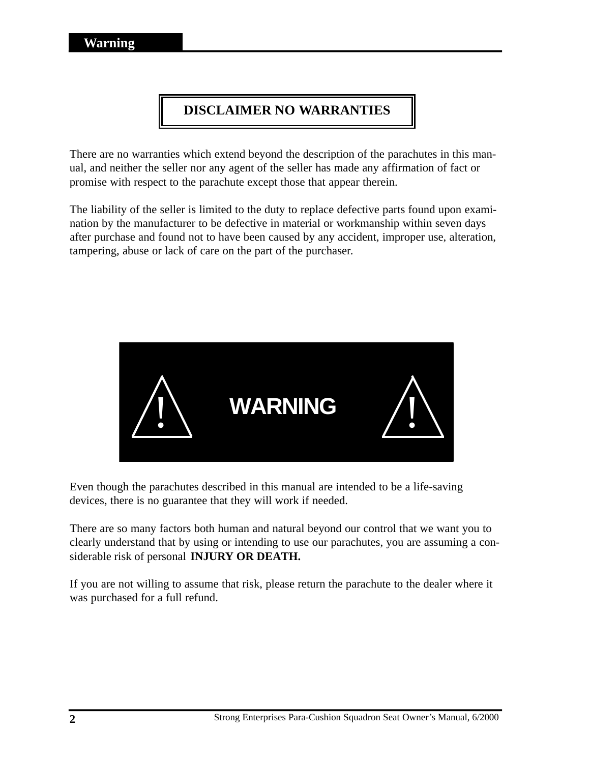# **DISCLAIMER NO WARRANTIES**

There are no warranties which extend beyond the description of the parachutes in this manual, and neither the seller nor any agent of the seller has made any affirmation of fact or promise with respect to the parachute except those that appear therein.

The liability of the seller is limited to the duty to replace defective parts found upon examination by the manufacturer to be defective in material or workmanship within seven days after purchase and found not to have been caused by any accident, improper use, alteration, tampering, abuse or lack of care on the part of the purchaser.



Even though the parachutes described in this manual are intended to be a life-saving devices, there is no guarantee that they will work if needed.

There are so many factors both human and natural beyond our control that we want you to clearly understand that by using or intending to use our parachutes, you are assuming a considerable risk of personal **INJURY OR DEATH.**

If you are not willing to assume that risk, please return the parachute to the dealer where it was purchased for a full refund.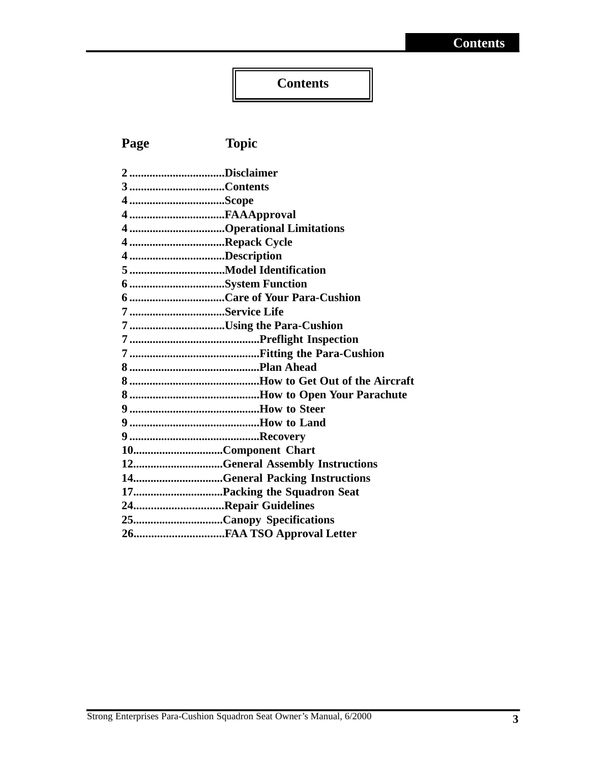# **Contents**

# **Page Topic**

| 2Disclaimer                     |
|---------------------------------|
|                                 |
|                                 |
|                                 |
| 4Operational Limitations        |
| 4 Repack Cycle                  |
| 4Description                    |
|                                 |
| 6 System Function               |
|                                 |
| 7Service Life                   |
| 7Using the Para-Cushion         |
|                                 |
|                                 |
|                                 |
|                                 |
|                                 |
|                                 |
|                                 |
|                                 |
| 10Component Chart               |
| 12General Assembly Instructions |
| 14General Packing Instructions  |
|                                 |
| 24Repair Guidelines             |
|                                 |
|                                 |
|                                 |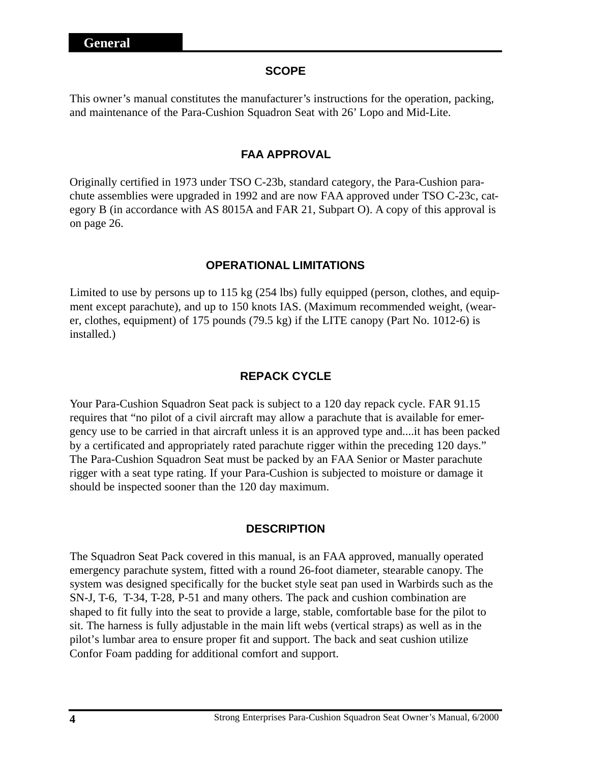#### **SCOPE**

This owner's manual constitutes the manufacturer's instructions for the operation, packing, and maintenance of the Para-Cushion Squadron Seat with 26' Lopo and Mid-Lite.

### **FAA APPROVAL**

Originally certified in 1973 under TSO C-23b, standard category, the Para-Cushion parachute assemblies were upgraded in 1992 and are now FAA approved under TSO C-23c, category B (in accordance with AS 8015A and FAR 21, Subpart O). A copy of this approval is on page 26.

#### **OPERATIONAL LIMITATIONS**

Limited to use by persons up to 115 kg (254 lbs) fully equipped (person, clothes, and equipment except parachute), and up to 150 knots IAS. (Maximum recommended weight, (wearer, clothes, equipment) of 175 pounds (79.5 kg) if the LITE canopy (Part No. 1012-6) is installed.)

#### **REPACK CYCLE**

Your Para-Cushion Squadron Seat pack is subject to a 120 day repack cycle. FAR 91.15 requires that "no pilot of a civil aircraft may allow a parachute that is available for emergency use to be carried in that aircraft unless it is an approved type and....it has been packed by a certificated and appropriately rated parachute rigger within the preceding 120 days." The Para-Cushion Squadron Seat must be packed by an FAA Senior or Master parachute rigger with a seat type rating. If your Para-Cushion is subjected to moisture or damage it should be inspected sooner than the 120 day maximum.

#### **DESCRIPTION**

The Squadron Seat Pack covered in this manual, is an FAA approved, manually operated emergency parachute system, fitted with a round 26-foot diameter, stearable canopy. The system was designed specifically for the bucket style seat pan used in Warbirds such as the SN-J, T-6, T-34, T-28, P-51 and many others. The pack and cushion combination are shaped to fit fully into the seat to provide a large, stable, comfortable base for the pilot to sit. The harness is fully adjustable in the main lift webs (vertical straps) as well as in the pilot's lumbar area to ensure proper fit and support. The back and seat cushion utilize Confor Foam padding for additional comfort and support.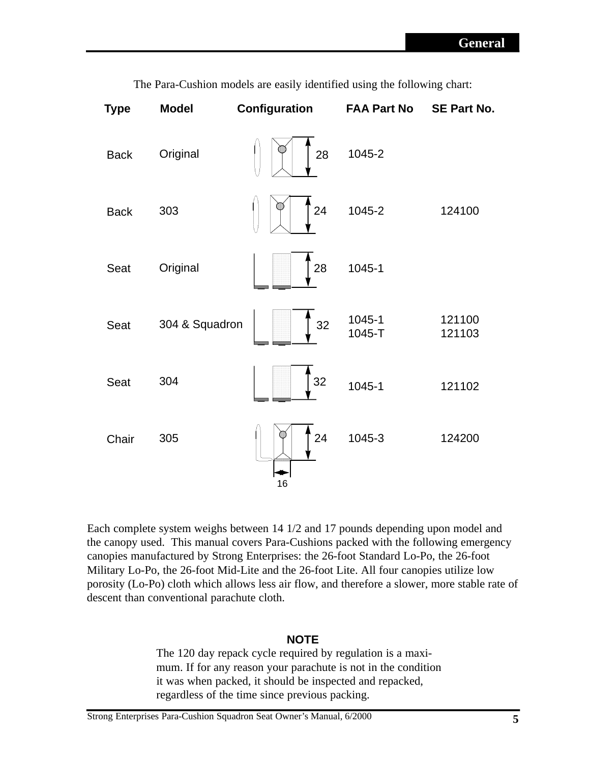| <b>Type</b> | <b>Model</b>   | Configuration  | <b>FAA Part No</b> | <b>SE Part No.</b> |
|-------------|----------------|----------------|--------------------|--------------------|
| <b>Back</b> | Original       | 28             | 1045-2             |                    |
| <b>Back</b> | 303            | 24             | 1045-2             | 124100             |
| Seat        | Original       | 28             | 1045-1             |                    |
| Seat        | 304 & Squadron | 32             | 1045-1<br>1045-T   | 121100<br>121103   |
| Seat        | 304            | $\frac{1}{32}$ | 1045-1             | 121102             |
| Chair       | 305            | 24<br>16       | 1045-3             | 124200             |

The Para-Cushion models are easily identified using the following chart:

Each complete system weighs between 14 1/2 and 17 pounds depending upon model and the canopy used. This manual covers Para-Cushions packed with the following emergency canopies manufactured by Strong Enterprises: the 26-foot Standard Lo-Po, the 26-foot Military Lo-Po, the 26-foot Mid-Lite and the 26-foot Lite. All four canopies utilize low porosity (Lo-Po) cloth which allows less air flow, and therefore a slower, more stable rate of descent than conventional parachute cloth.

## **NOTE**

The 120 day repack cycle required by regulation is a maximum. If for any reason your parachute is not in the condition it was when packed, it should be inspected and repacked, regardless of the time since previous packing.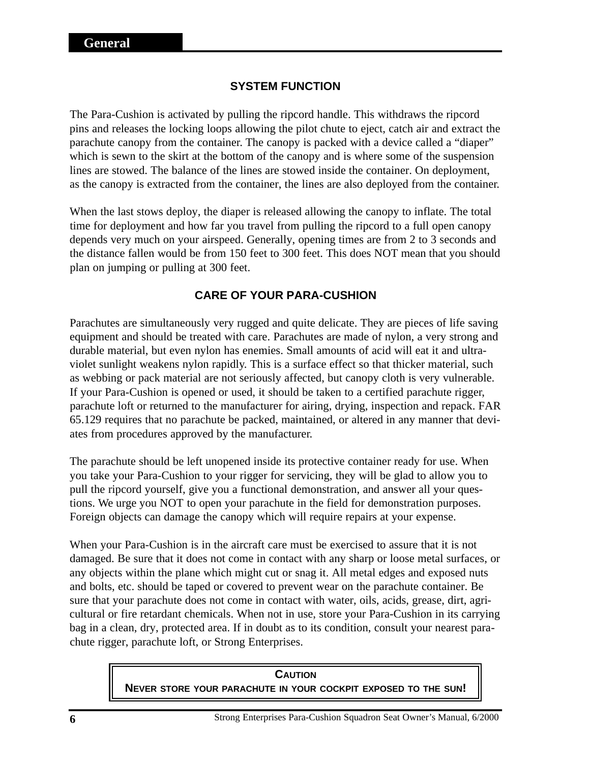## **SYSTEM FUNCTION**

The Para-Cushion is activated by pulling the ripcord handle. This withdraws the ripcord pins and releases the locking loops allowing the pilot chute to eject, catch air and extract the parachute canopy from the container. The canopy is packed with a device called a "diaper" which is sewn to the skirt at the bottom of the canopy and is where some of the suspension lines are stowed. The balance of the lines are stowed inside the container. On deployment, as the canopy is extracted from the container, the lines are also deployed from the container.

When the last stows deploy, the diaper is released allowing the canopy to inflate. The total time for deployment and how far you travel from pulling the ripcord to a full open canopy depends very much on your airspeed. Generally, opening times are from 2 to 3 seconds and the distance fallen would be from 150 feet to 300 feet. This does NOT mean that you should plan on jumping or pulling at 300 feet.

## **CARE OF YOUR PARA-CUSHION**

Parachutes are simultaneously very rugged and quite delicate. They are pieces of life saving equipment and should be treated with care. Parachutes are made of nylon, a very strong and durable material, but even nylon has enemies. Small amounts of acid will eat it and ultraviolet sunlight weakens nylon rapidly. This is a surface effect so that thicker material, such as webbing or pack material are not seriously affected, but canopy cloth is very vulnerable. If your Para-Cushion is opened or used, it should be taken to a certified parachute rigger, parachute loft or returned to the manufacturer for airing, drying, inspection and repack. FAR 65.129 requires that no parachute be packed, maintained, or altered in any manner that deviates from procedures approved by the manufacturer.

The parachute should be left unopened inside its protective container ready for use. When you take your Para-Cushion to your rigger for servicing, they will be glad to allow you to pull the ripcord yourself, give you a functional demonstration, and answer all your questions. We urge you NOT to open your parachute in the field for demonstration purposes. Foreign objects can damage the canopy which will require repairs at your expense.

When your Para-Cushion is in the aircraft care must be exercised to assure that it is not damaged. Be sure that it does not come in contact with any sharp or loose metal surfaces, or any objects within the plane which might cut or snag it. All metal edges and exposed nuts and bolts, etc. should be taped or covered to prevent wear on the parachute container. Be sure that your parachute does not come in contact with water, oils, acids, grease, dirt, agricultural or fire retardant chemicals. When not in use, store your Para-Cushion in its carrying bag in a clean, dry, protected area. If in doubt as to its condition, consult your nearest parachute rigger, parachute loft, or Strong Enterprises.

> **CAUTION NEVER STORE YOUR PARACHUTE IN YOUR COCKPIT EXPOSED TO THE SUN!**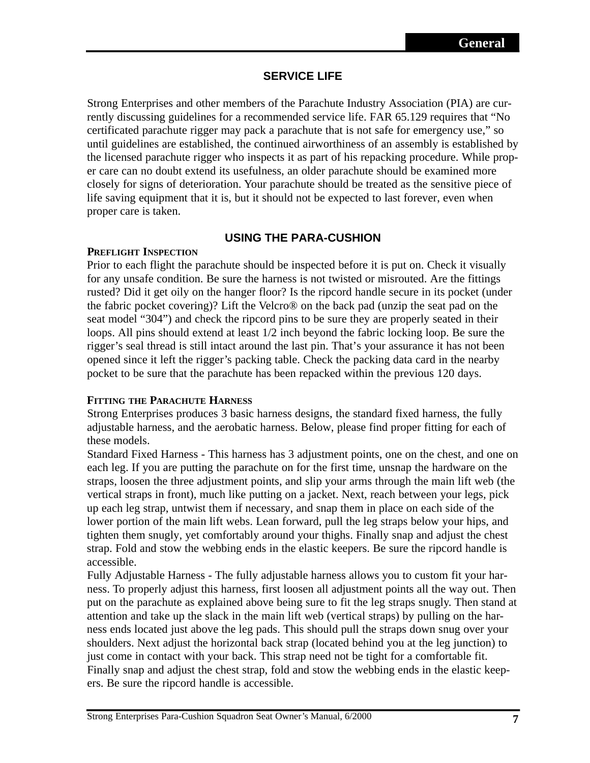## **SERVICE LIFE**

Strong Enterprises and other members of the Parachute Industry Association (PIA) are currently discussing guidelines for a recommended service life. FAR 65.129 requires that "No certificated parachute rigger may pack a parachute that is not safe for emergency use," so until guidelines are established, the continued airworthiness of an assembly is established by the licensed parachute rigger who inspects it as part of his repacking procedure. While proper care can no doubt extend its usefulness, an older parachute should be examined more closely for signs of deterioration. Your parachute should be treated as the sensitive piece of life saving equipment that it is, but it should not be expected to last forever, even when proper care is taken.

## **USING THE PARA-CUSHION**

## **PREFLIGHT INSPECTION**

Prior to each flight the parachute should be inspected before it is put on. Check it visually for any unsafe condition. Be sure the harness is not twisted or misrouted. Are the fittings rusted? Did it get oily on the hanger floor? Is the ripcord handle secure in its pocket (under the fabric pocket covering)? Lift the Velcro® on the back pad (unzip the seat pad on the seat model "304") and check the ripcord pins to be sure they are properly seated in their loops. All pins should extend at least 1/2 inch beyond the fabric locking loop. Be sure the rigger's seal thread is still intact around the last pin. That's your assurance it has not been opened since it left the rigger's packing table. Check the packing data card in the nearby pocket to be sure that the parachute has been repacked within the previous 120 days.

## **FITTING THE PARACHUTE HARNESS**

Strong Enterprises produces 3 basic harness designs, the standard fixed harness, the fully adjustable harness, and the aerobatic harness. Below, please find proper fitting for each of these models.

Standard Fixed Harness - This harness has 3 adjustment points, one on the chest, and one on each leg. If you are putting the parachute on for the first time, unsnap the hardware on the straps, loosen the three adjustment points, and slip your arms through the main lift web (the vertical straps in front), much like putting on a jacket. Next, reach between your legs, pick up each leg strap, untwist them if necessary, and snap them in place on each side of the lower portion of the main lift webs. Lean forward, pull the leg straps below your hips, and tighten them snugly, yet comfortably around your thighs. Finally snap and adjust the chest strap. Fold and stow the webbing ends in the elastic keepers. Be sure the ripcord handle is accessible.

Fully Adjustable Harness - The fully adjustable harness allows you to custom fit your harness. To properly adjust this harness, first loosen all adjustment points all the way out. Then put on the parachute as explained above being sure to fit the leg straps snugly. Then stand at attention and take up the slack in the main lift web (vertical straps) by pulling on the harness ends located just above the leg pads. This should pull the straps down snug over your shoulders. Next adjust the horizontal back strap (located behind you at the leg junction) to just come in contact with your back. This strap need not be tight for a comfortable fit. Finally snap and adjust the chest strap, fold and stow the webbing ends in the elastic keepers. Be sure the ripcord handle is accessible.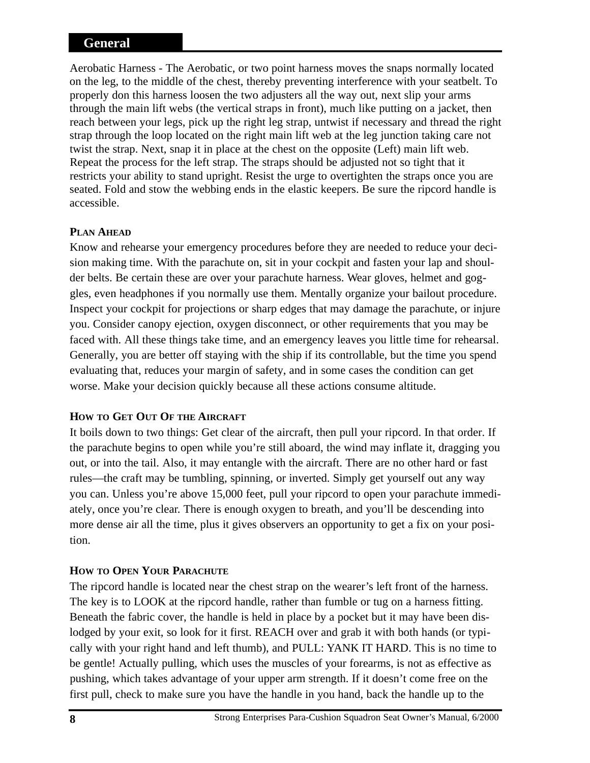## **General**

Aerobatic Harness - The Aerobatic, or two point harness moves the snaps normally located on the leg, to the middle of the chest, thereby preventing interference with your seatbelt. To properly don this harness loosen the two adjusters all the way out, next slip your arms through the main lift webs (the vertical straps in front), much like putting on a jacket, then reach between your legs, pick up the right leg strap, untwist if necessary and thread the right strap through the loop located on the right main lift web at the leg junction taking care not twist the strap. Next, snap it in place at the chest on the opposite (Left) main lift web. Repeat the process for the left strap. The straps should be adjusted not so tight that it restricts your ability to stand upright. Resist the urge to overtighten the straps once you are seated. Fold and stow the webbing ends in the elastic keepers. Be sure the ripcord handle is accessible.

## **PLAN AHEAD**

Know and rehearse your emergency procedures before they are needed to reduce your decision making time. With the parachute on, sit in your cockpit and fasten your lap and shoulder belts. Be certain these are over your parachute harness. Wear gloves, helmet and goggles, even headphones if you normally use them. Mentally organize your bailout procedure. Inspect your cockpit for projections or sharp edges that may damage the parachute, or injure you. Consider canopy ejection, oxygen disconnect, or other requirements that you may be faced with. All these things take time, and an emergency leaves you little time for rehearsal. Generally, you are better off staying with the ship if its controllable, but the time you spend evaluating that, reduces your margin of safety, and in some cases the condition can get worse. Make your decision quickly because all these actions consume altitude.

## **HOW TO GET OUT OF THE AIRCRAFT**

It boils down to two things: Get clear of the aircraft, then pull your ripcord. In that order. If the parachute begins to open while you're still aboard, the wind may inflate it, dragging you out, or into the tail. Also, it may entangle with the aircraft. There are no other hard or fast rules—the craft may be tumbling, spinning, or inverted. Simply get yourself out any way you can. Unless you're above 15,000 feet, pull your ripcord to open your parachute immediately, once you're clear. There is enough oxygen to breath, and you'll be descending into more dense air all the time, plus it gives observers an opportunity to get a fix on your position.

## **HOW TO OPEN YOUR PARACHUTE**

The ripcord handle is located near the chest strap on the wearer's left front of the harness. The key is to LOOK at the ripcord handle, rather than fumble or tug on a harness fitting. Beneath the fabric cover, the handle is held in place by a pocket but it may have been dislodged by your exit, so look for it first. REACH over and grab it with both hands (or typically with your right hand and left thumb), and PULL: YANK IT HARD. This is no time to be gentle! Actually pulling, which uses the muscles of your forearms, is not as effective as pushing, which takes advantage of your upper arm strength. If it doesn't come free on the first pull, check to make sure you have the handle in you hand, back the handle up to the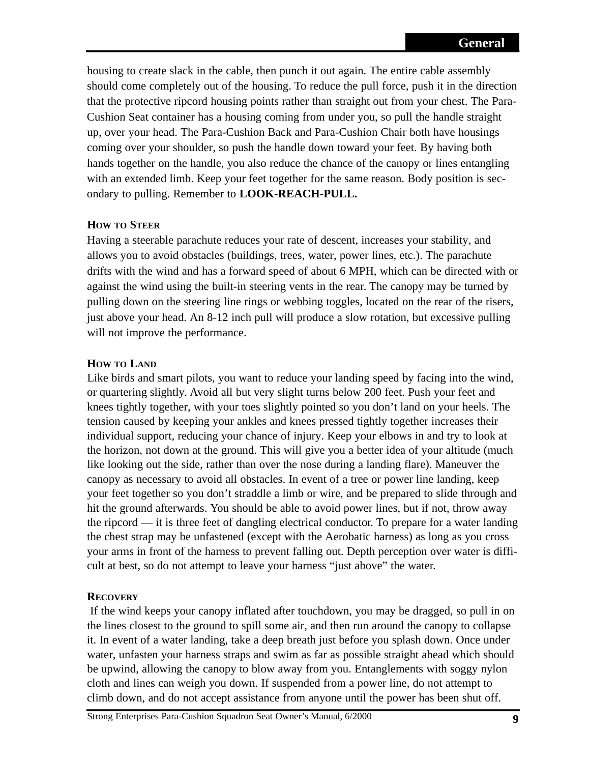housing to create slack in the cable, then punch it out again. The entire cable assembly should come completely out of the housing. To reduce the pull force, push it in the direction that the protective ripcord housing points rather than straight out from your chest. The Para-Cushion Seat container has a housing coming from under you, so pull the handle straight up, over your head. The Para-Cushion Back and Para-Cushion Chair both have housings coming over your shoulder, so push the handle down toward your feet. By having both hands together on the handle, you also reduce the chance of the canopy or lines entangling with an extended limb. Keep your feet together for the same reason. Body position is secondary to pulling. Remember to **LOOK-REACH-PULL.**

## **HOW TO STEER**

Having a steerable parachute reduces your rate of descent, increases your stability, and allows you to avoid obstacles (buildings, trees, water, power lines, etc.). The parachute drifts with the wind and has a forward speed of about 6 MPH, which can be directed with or against the wind using the built-in steering vents in the rear. The canopy may be turned by pulling down on the steering line rings or webbing toggles, located on the rear of the risers, just above your head. An 8-12 inch pull will produce a slow rotation, but excessive pulling will not improve the performance.

## **HOW TO LAND**

Like birds and smart pilots, you want to reduce your landing speed by facing into the wind, or quartering slightly. Avoid all but very slight turns below 200 feet. Push your feet and knees tightly together, with your toes slightly pointed so you don't land on your heels. The tension caused by keeping your ankles and knees pressed tightly together increases their individual support, reducing your chance of injury. Keep your elbows in and try to look at the horizon, not down at the ground. This will give you a better idea of your altitude (much like looking out the side, rather than over the nose during a landing flare). Maneuver the canopy as necessary to avoid all obstacles. In event of a tree or power line landing, keep your feet together so you don't straddle a limb or wire, and be prepared to slide through and hit the ground afterwards. You should be able to avoid power lines, but if not, throw away the ripcord — it is three feet of dangling electrical conductor. To prepare for a water landing the chest strap may be unfastened (except with the Aerobatic harness) as long as you cross your arms in front of the harness to prevent falling out. Depth perception over water is difficult at best, so do not attempt to leave your harness "just above" the water.

#### **RECOVERY**

If the wind keeps your canopy inflated after touchdown, you may be dragged, so pull in on the lines closest to the ground to spill some air, and then run around the canopy to collapse it. In event of a water landing, take a deep breath just before you splash down. Once under water, unfasten your harness straps and swim as far as possible straight ahead which should be upwind, allowing the canopy to blow away from you. Entanglements with soggy nylon cloth and lines can weigh you down. If suspended from a power line, do not attempt to climb down, and do not accept assistance from anyone until the power has been shut off.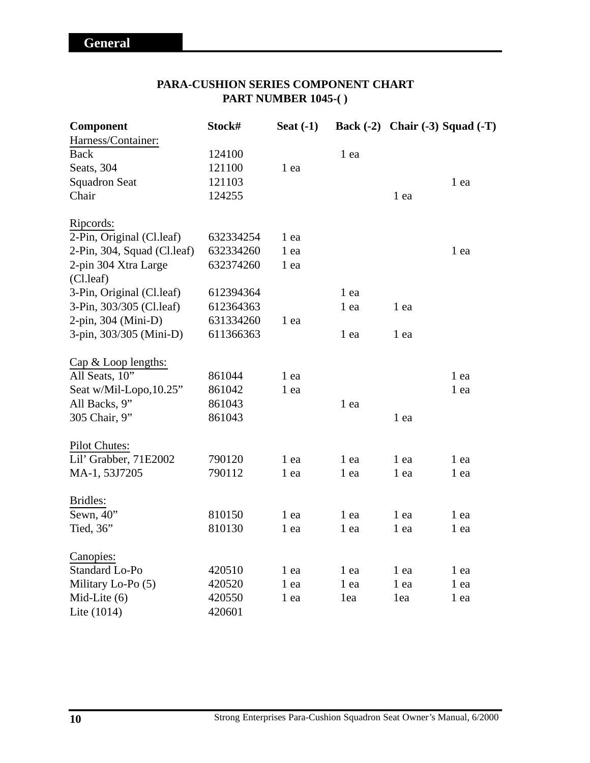## **PARA-CUSHION SERIES COMPONENT CHART PART NUMBER 1045-( )**

| Component                   | Stock#    | Seat $(-1)$ |      |      | Back (-2) Chair (-3) Squad (-T) |
|-----------------------------|-----------|-------------|------|------|---------------------------------|
| Harness/Container:          |           |             |      |      |                                 |
| <b>Back</b>                 | 124100    |             | 1 ea |      |                                 |
| Seats, 304                  | 121100    | 1 ea        |      |      |                                 |
| <b>Squadron Seat</b>        | 121103    |             |      |      | 1 ea                            |
| Chair                       | 124255    |             |      | 1 ea |                                 |
| Ripcords:                   |           |             |      |      |                                 |
| 2-Pin, Original (Cl.leaf)   | 632334254 | 1 ea        |      |      |                                 |
| 2-Pin, 304, Squad (Cl.leaf) | 632334260 | 1 ea        |      |      | 1 ea                            |
| 2-pin 304 Xtra Large        | 632374260 | 1 ea        |      |      |                                 |
| (Cl.leaf)                   |           |             |      |      |                                 |
| 3-Pin, Original (Cl.leaf)   | 612394364 |             | 1 ea |      |                                 |
| 3-Pin, 303/305 (Cl.leaf)    | 612364363 |             | 1 ea | 1 ea |                                 |
| 2-pin, 304 (Mini-D)         | 631334260 | 1 ea        |      |      |                                 |
| 3-pin, 303/305 (Mini-D)     | 611366363 |             | 1 ea | 1 ea |                                 |
| Cap & Loop lengths:         |           |             |      |      |                                 |
| All Seats, 10"              | 861044    | 1 ea        |      |      | 1 ea                            |
| Seat w/Mil-Lopo, 10.25"     | 861042    | 1 ea        |      |      | 1 ea                            |
| All Backs, 9"               | 861043    |             | 1 ea |      |                                 |
| 305 Chair, 9"               | 861043    |             |      | 1 ea |                                 |
| <b>Pilot Chutes:</b>        |           |             |      |      |                                 |
| Lil' Grabber, 71E2002       | 790120    | 1 ea        | 1 ea | 1 ea | 1 ea                            |
| MA-1, 53J7205               | 790112    | 1 ea        | 1 ea | 1 ea | 1 ea                            |
| Bridles:                    |           |             |      |      |                                 |
| Sewn, 40"                   | 810150    | 1 ea        | 1 ea | 1 ea | 1 ea                            |
| Tied, $36$                  | 810130    | 1 ea        | 1 ea | 1 ea | 1 ea                            |
| Canopies:                   |           |             |      |      |                                 |
| Standard Lo-Po              | 420510    | 1 ea        | 1 ea | 1 ea | 1 ea                            |
| Military Lo-Po (5)          | 420520    | 1 ea        | 1 ea | 1 ea | 1 ea                            |
| Mid-Lite $(6)$              | 420550    | 1 ea        | 1ea  | 1ea  | 1 ea                            |
| Lite $(1014)$               | 420601    |             |      |      |                                 |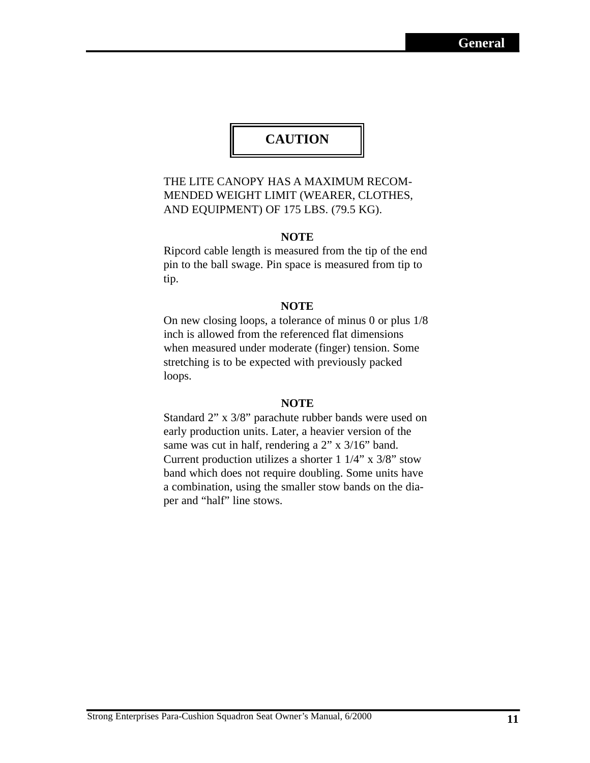# **CAUTION**

## THE LITE CANOPY HAS A MAXIMUM RECOM-MENDED WEIGHT LIMIT (WEARER, CLOTHES, AND EQUIPMENT) OF 175 LBS. (79.5 KG).

#### **NOTE**

Ripcord cable length is measured from the tip of the end pin to the ball swage. Pin space is measured from tip to tip.

#### **NOTE**

On new closing loops, a tolerance of minus 0 or plus 1/8 inch is allowed from the referenced flat dimensions when measured under moderate (finger) tension. Some stretching is to be expected with previously packed loops.

#### **NOTE**

Standard 2" x 3/8" parachute rubber bands were used on early production units. Later, a heavier version of the same was cut in half, rendering a 2" x 3/16" band. Current production utilizes a shorter  $1 \frac{1}{4}$ " x  $\frac{3}{8}$ " stow band which does not require doubling. Some units have a combination, using the smaller stow bands on the diaper and "half" line stows.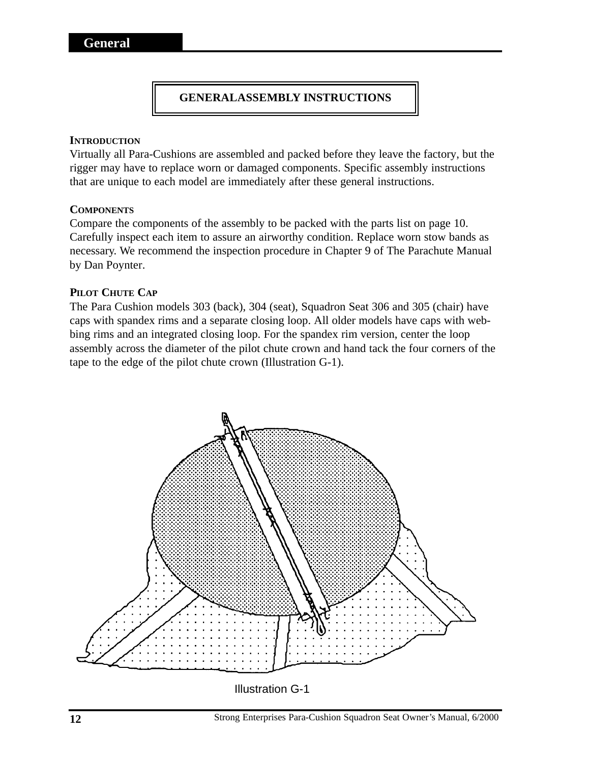## **GENERALASSEMBLY INSTRUCTIONS**

#### **INTRODUCTION**

Virtually all Para-Cushions are assembled and packed before they leave the factory, but the rigger may have to replace worn or damaged components. Specific assembly instructions that are unique to each model are immediately after these general instructions.

#### **COMPONENTS**

Compare the components of the assembly to be packed with the parts list on page 10. Carefully inspect each item to assure an airworthy condition. Replace worn stow bands as necessary. We recommend the inspection procedure in Chapter 9 of The Parachute Manual by Dan Poynter.

#### **PILOT CHUTE CAP**

The Para Cushion models 303 (back), 304 (seat), Squadron Seat 306 and 305 (chair) have caps with spandex rims and a separate closing loop. All older models have caps with webbing rims and an integrated closing loop. For the spandex rim version, center the loop assembly across the diameter of the pilot chute crown and hand tack the four corners of the tape to the edge of the pilot chute crown (Illustration G-1).

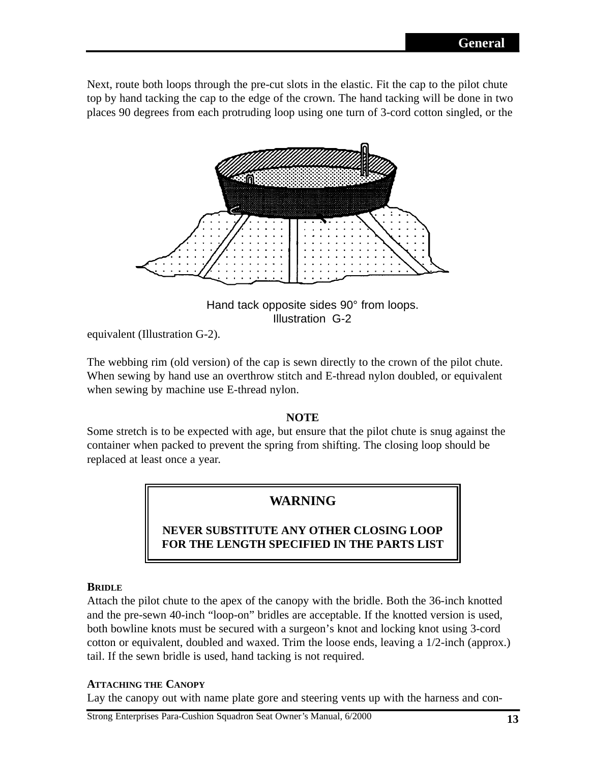Next, route both loops through the pre-cut slots in the elastic. Fit the cap to the pilot chute top by hand tacking the cap to the edge of the crown. The hand tacking will be done in two places 90 degrees from each protruding loop using one turn of 3-cord cotton singled, or the



Hand tack opposite sides 90° from loops. Illustration G-2

equivalent (Illustration G-2).

The webbing rim (old version) of the cap is sewn directly to the crown of the pilot chute. When sewing by hand use an overthrow stitch and E-thread nylon doubled, or equivalent when sewing by machine use E-thread nylon.

## **NOTE**

Some stretch is to be expected with age, but ensure that the pilot chute is snug against the container when packed to prevent the spring from shifting. The closing loop should be replaced at least once a year.

# **WARNING**

## **NEVER SUBSTITUTE ANY OTHER CLOSING LOOP FOR THE LENGTH SPECIFIED IN THE PARTS LIST**

#### **BRIDLE**

Attach the pilot chute to the apex of the canopy with the bridle. Both the 36-inch knotted and the pre-sewn 40-inch "loop-on" bridles are acceptable. If the knotted version is used, both bowline knots must be secured with a surgeon's knot and locking knot using 3-cord cotton or equivalent, doubled and waxed. Trim the loose ends, leaving a 1/2-inch (approx.) tail. If the sewn bridle is used, hand tacking is not required.

#### **ATTACHING THE CANOPY**

Lay the canopy out with name plate gore and steering vents up with the harness and con-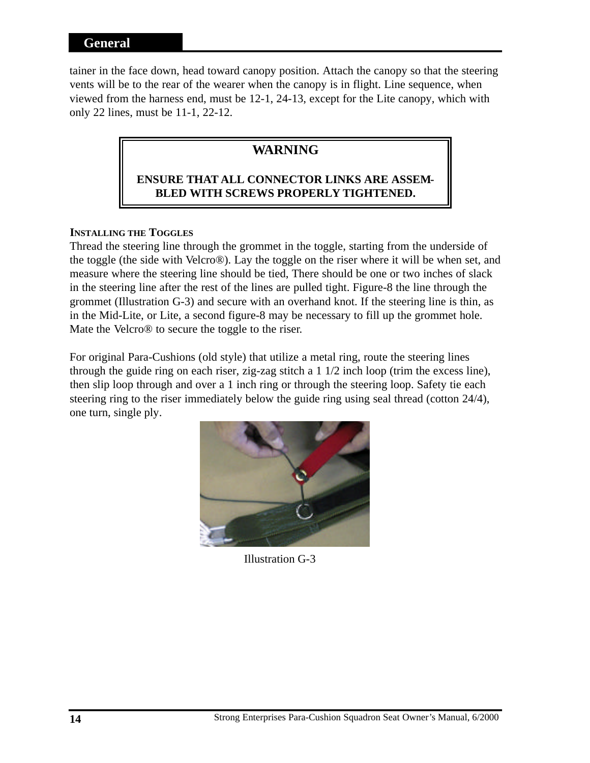## **General**

tainer in the face down, head toward canopy position. Attach the canopy so that the steering vents will be to the rear of the wearer when the canopy is in flight. Line sequence, when viewed from the harness end, must be 12-1, 24-13, except for the Lite canopy, which with only 22 lines, must be 11-1, 22-12.

# **WARNING**

## **ENSURE THAT ALL CONNECTOR LINKS ARE ASSEM-BLED WITH SCREWS PROPERLY TIGHTENED.**

## **INSTALLING THE TOGGLES**

Thread the steering line through the grommet in the toggle, starting from the underside of the toggle (the side with Velcro®). Lay the toggle on the riser where it will be when set, and measure where the steering line should be tied, There should be one or two inches of slack in the steering line after the rest of the lines are pulled tight. Figure-8 the line through the grommet (Illustration G-3) and secure with an overhand knot. If the steering line is thin, as in the Mid-Lite, or Lite, a second figure-8 may be necessary to fill up the grommet hole. Mate the Velcro® to secure the toggle to the riser.

For original Para-Cushions (old style) that utilize a metal ring, route the steering lines through the guide ring on each riser, zig-zag stitch a 1 1/2 inch loop (trim the excess line), then slip loop through and over a 1 inch ring or through the steering loop. Safety tie each steering ring to the riser immediately below the guide ring using seal thread (cotton 24/4), one turn, single ply.



Illustration G-3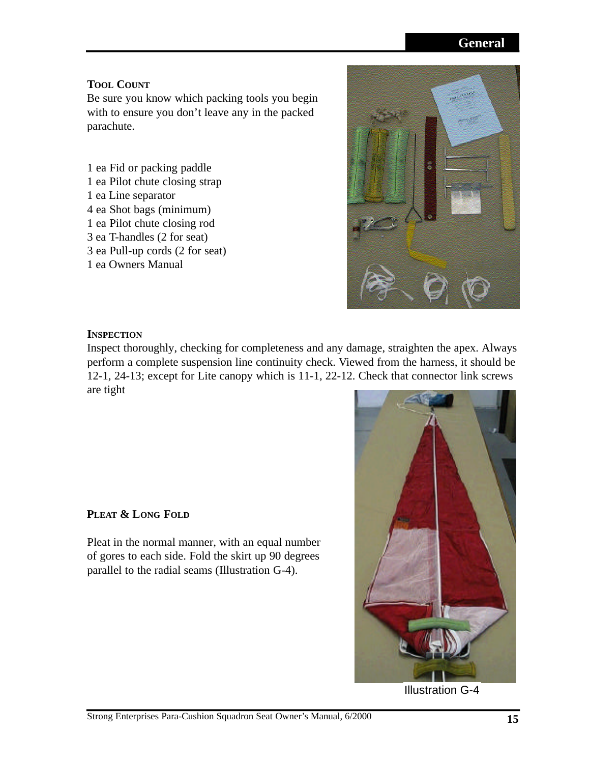# **General**

## **TOOL COUNT**

Be sure you know which packing tools you begin with to ensure you don't leave any in the packed parachute.

1 ea Fid or packing paddle 1 ea Pilot chute closing strap 1 ea Line separator 4 ea Shot bags (minimum) 1 ea Pilot chute closing rod 3 ea T-handles (2 for seat) 3 ea Pull-up cords (2 for seat) 1 ea Owners Manual



## **INSPECTION**

Inspect thoroughly, checking for completeness and any damage, straighten the apex. Always perform a complete suspension line continuity check. Viewed from the harness, it should be 12-1, 24-13; except for Lite canopy which is 11-1, 22-12. Check that connector link screws are tight

## **PLEAT & LONG FOLD**

Pleat in the normal manner, with an equal number of gores to each side. Fold the skirt up 90 degrees parallel to the radial seams (Illustration G-4).



Illustration G-4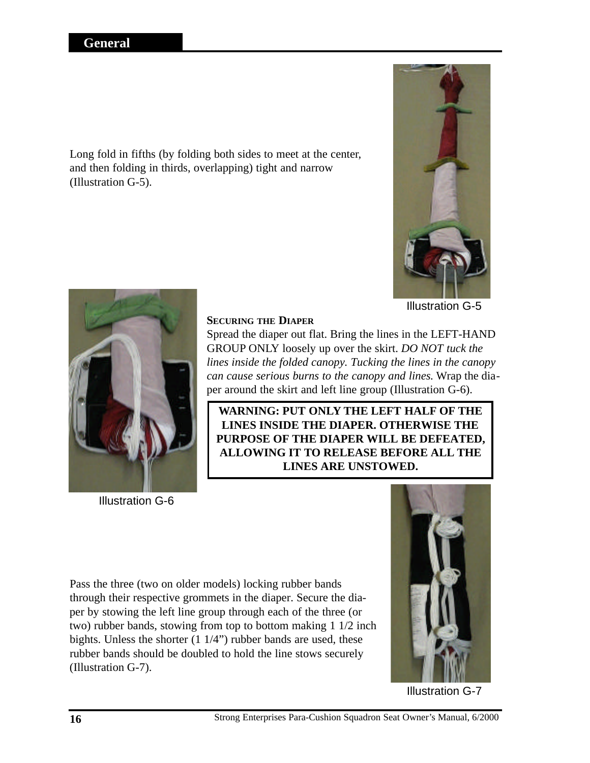Long fold in fifths (by folding both sides to meet at the center, and then folding in thirds, overlapping) tight and narrow (Illustration G-5).



Illustration G-5



Illustration G-6

## **SECURING THE DIAPER**

Spread the diaper out flat. Bring the lines in the LEFT-HAND GROUP ONLY loosely up over the skirt. *DO NOT tuck the lines inside the folded canopy. Tucking the lines in the canopy can cause serious burns to the canopy and lines*. Wrap the diaper around the skirt and left line group (Illustration G-6).

**WARNING: PUT ONLY THE LEFT HALF OF THE LINES INSIDE THE DIAPER. OTHERWISE THE PURPOSE OF THE DIAPER WILL BE DEFEATED, ALLOWING IT TO RELEASE BEFORE ALL THE LINES ARE UNSTOWED.**

Pass the three (two on older models) locking rubber bands through their respective grommets in the diaper. Secure the diaper by stowing the left line group through each of the three (or two) rubber bands, stowing from top to bottom making 1 1/2 inch bights. Unless the shorter (1 1/4") rubber bands are used, these rubber bands should be doubled to hold the line stows securely (Illustration G-7).



Illustration G-7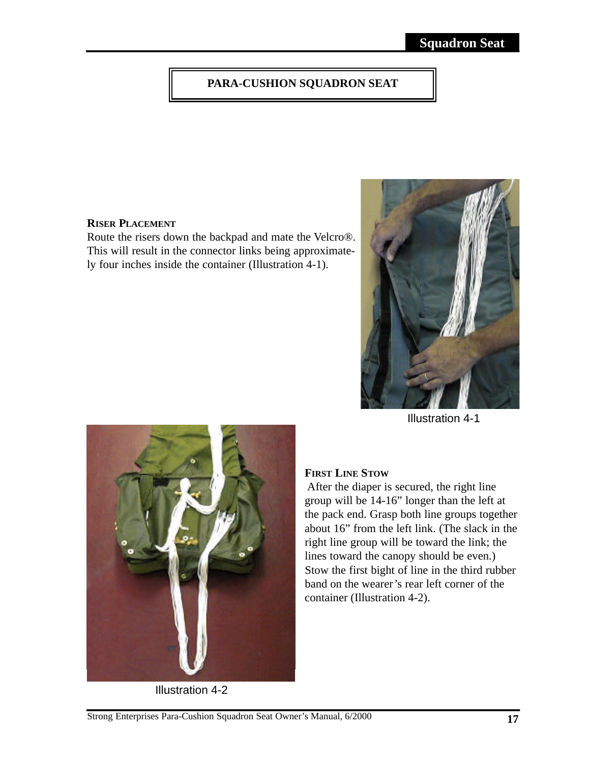# **PARA-CUSHION SQUADRON SEAT**

#### **RISER PLACEMENT**

Route the risers down the backpad and mate the Velcro®. This will result in the connector links being approximately four inches inside the container (Illustration 4-1).



Illustration 4-1



Illustration 4-2

## **FIRST LINE STOW**

After the diaper is secured, the right line group will be 14-16" longer than the left at the pack end. Grasp both line groups together about 16" from the left link. (The slack in the right line group will be toward the link; the lines toward the canopy should be even.) Stow the first bight of line in the third rubber band on the wearer's rear left corner of the container (Illustration 4-2).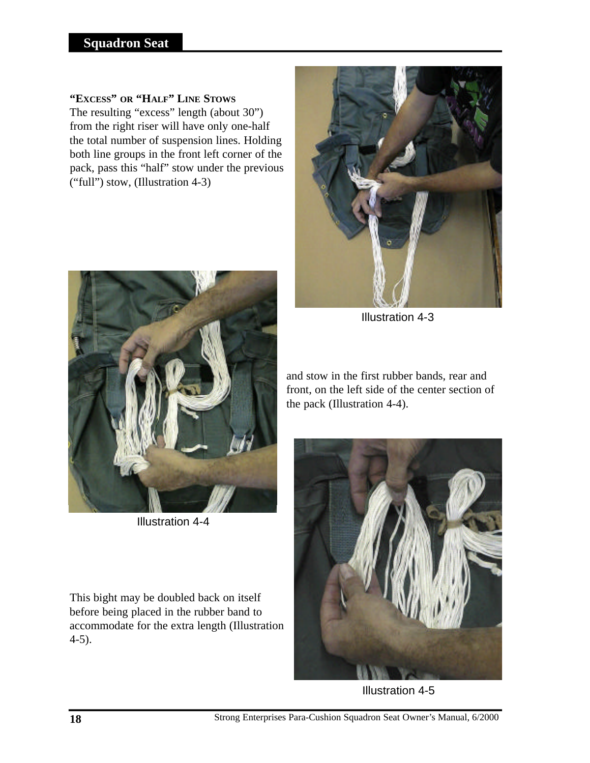## **"EXCESS" OR "HALF" LINE STOWS**

The resulting "excess" length (about 30") from the right riser will have only one-half the total number of suspension lines. Holding both line groups in the front left corner of the pack, pass this "half" stow under the previous ("full") stow, (Illustration 4-3)



Illustration 4-4

This bight may be doubled back on itself before being placed in the rubber band to accommodate for the extra length (Illustration 4-5).



Illustration 4-3

and stow in the first rubber bands, rear and front, on the left side of the center section of the pack (Illustration 4-4).



Illustration 4-5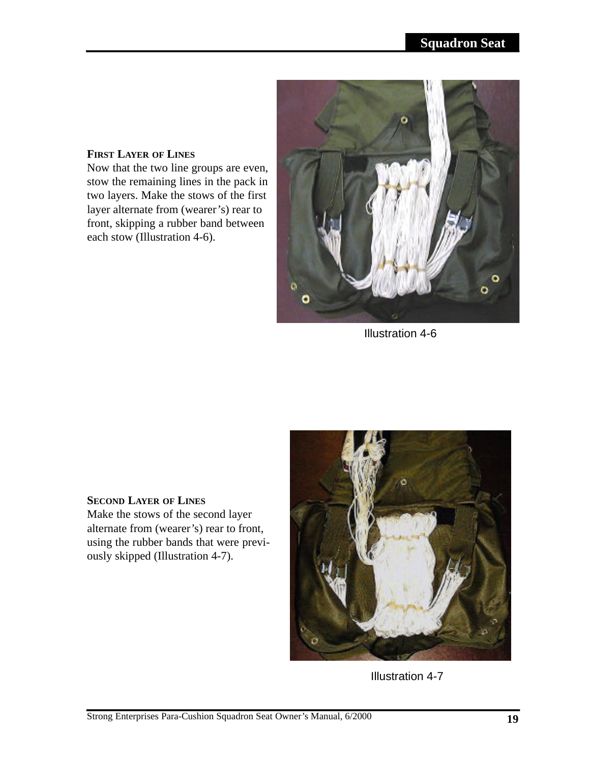## **FIRST LAYER OF LINES**

Now that the two line groups are even, stow the remaining lines in the pack in two layers. Make the stows of the first layer alternate from (wearer's) rear to front, skipping a rubber band between each stow (Illustration 4-6).



Illustration 4-6

## **SECOND LAYER OF LINES**

Make the stows of the second layer alternate from (wearer's) rear to front, using the rubber bands that were previously skipped (Illustration 4-7).



Illustration 4-7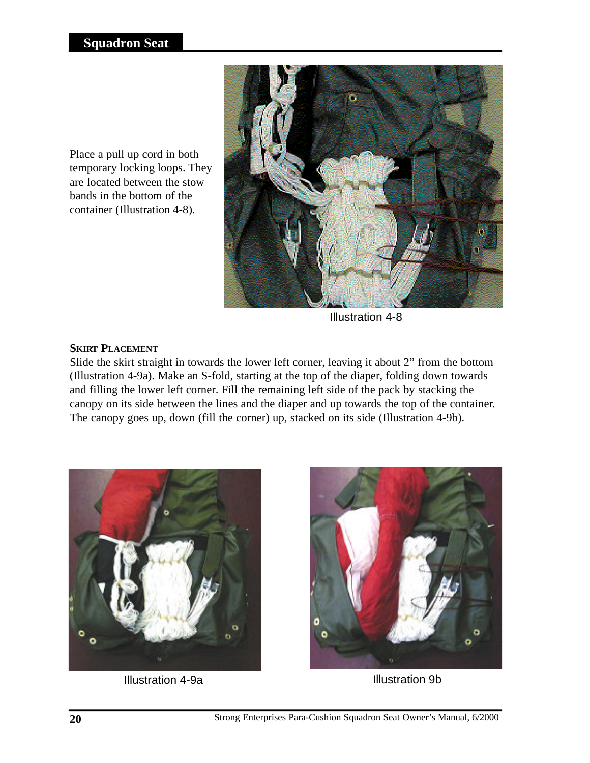Place a pull up cord in both temporary locking loops. They are located between the stow bands in the bottom of the container (Illustration 4-8).



Illustration 4-8

## **SKIRT PLACEMENT**

Slide the skirt straight in towards the lower left corner, leaving it about 2" from the bottom (Illustration 4-9a). Make an S-fold, starting at the top of the diaper, folding down towards and filling the lower left corner. Fill the remaining left side of the pack by stacking the canopy on its side between the lines and the diaper and up towards the top of the container. The canopy goes up, down (fill the corner) up, stacked on its side (Illustration 4-9b).



Illustration 4-9a **Illustration** 9b



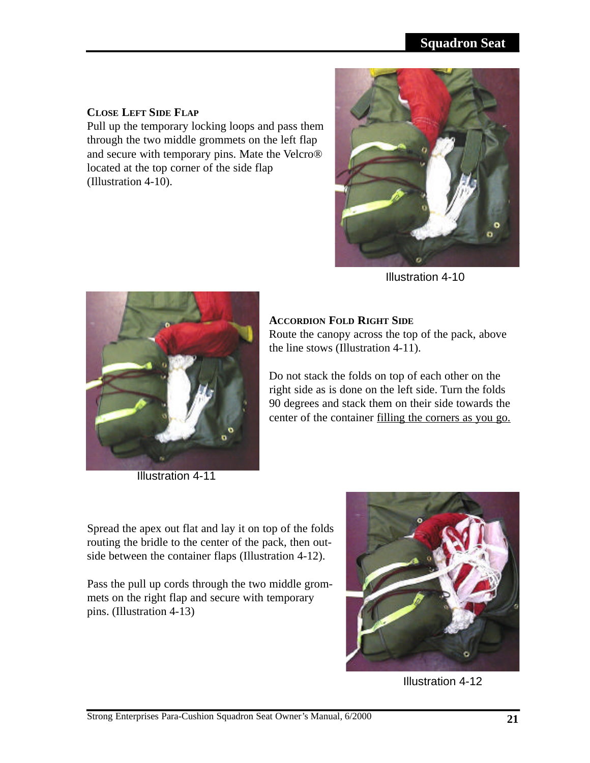## **Squadron Seat**

#### **CLOSE LEFT SIDE FLAP**

Pull up the temporary locking loops and pass them through the two middle grommets on the left flap and secure with temporary pins. Mate the Velcro® located at the top corner of the side flap (Illustration 4-10).



Illustration 4-10



Illustration 4-11

## **ACCORDION FOLD RIGHT SIDE**

Route the canopy across the top of the pack, above the line stows (Illustration 4-11).

Do not stack the folds on top of each other on the right side as is done on the left side. Turn the folds 90 degrees and stack them on their side towards the center of the container filling the corners as you go.

Spread the apex out flat and lay it on top of the folds routing the bridle to the center of the pack, then outside between the container flaps (Illustration 4-12).

Pass the pull up cords through the two middle grommets on the right flap and secure with temporary pins. (Illustration 4-13)



Illustration 4-12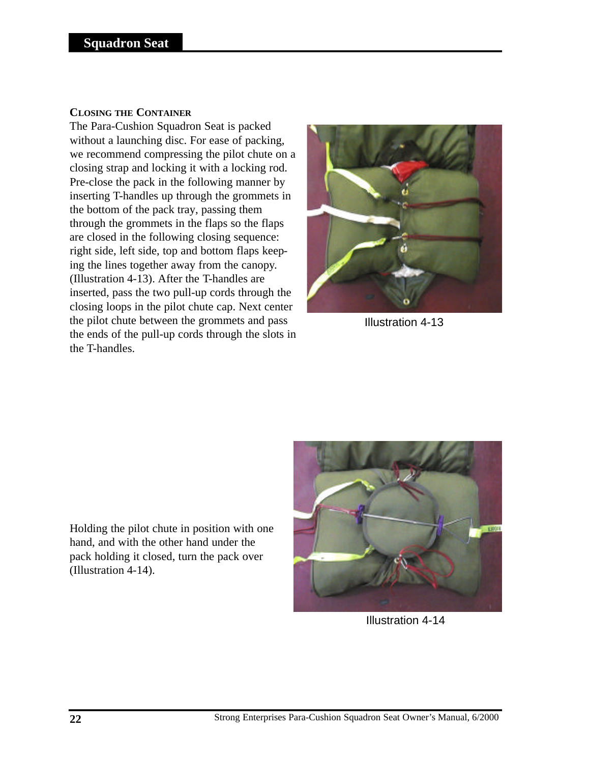#### **CLOSING THE CONTAINER**

The Para-Cushion Squadron Seat is packed without a launching disc. For ease of packing, we recommend compressing the pilot chute on a closing strap and locking it with a locking rod. Pre-close the pack in the following manner by inserting T-handles up through the grommets in the bottom of the pack tray, passing them through the grommets in the flaps so the flaps are closed in the following closing sequence: right side, left side, top and bottom flaps keeping the lines together away from the canopy. (Illustration 4-13). After the T-handles are inserted, pass the two pull-up cords through the closing loops in the pilot chute cap. Next center the pilot chute between the grommets and pass the ends of the pull-up cords through the slots in the T-handles.



Illustration 4-13

Holding the pilot chute in position with one hand, and with the other hand under the pack holding it closed, turn the pack over (Illustration 4-14).



Illustration 4-14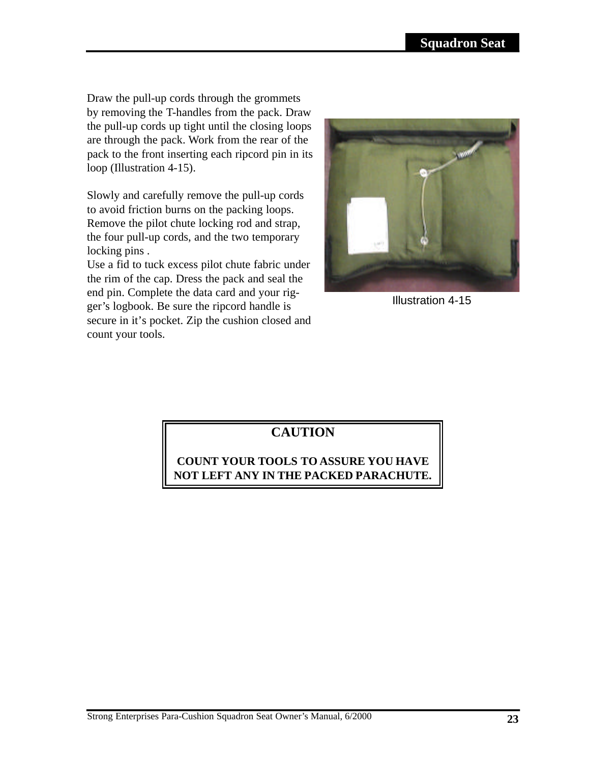Draw the pull-up cords through the grommets by removing the T-handles from the pack. Draw the pull-up cords up tight until the closing loops are through the pack. Work from the rear of the pack to the front inserting each ripcord pin in its loop (Illustration 4-15).

Slowly and carefully remove the pull-up cords to avoid friction burns on the packing loops. Remove the pilot chute locking rod and strap, the four pull-up cords, and the two temporary locking pins .

Use a fid to tuck excess pilot chute fabric under the rim of the cap. Dress the pack and seal the end pin. Complete the data card and your rigger's logbook. Be sure the ripcord handle is secure in it's pocket. Zip the cushion closed and count your tools.



Illustration 4-15

# **CAUTION**

# **COUNT YOUR TOOLS TO ASSURE YOU HAVE NOT LEFT ANY IN THE PACKED PARACHUTE.**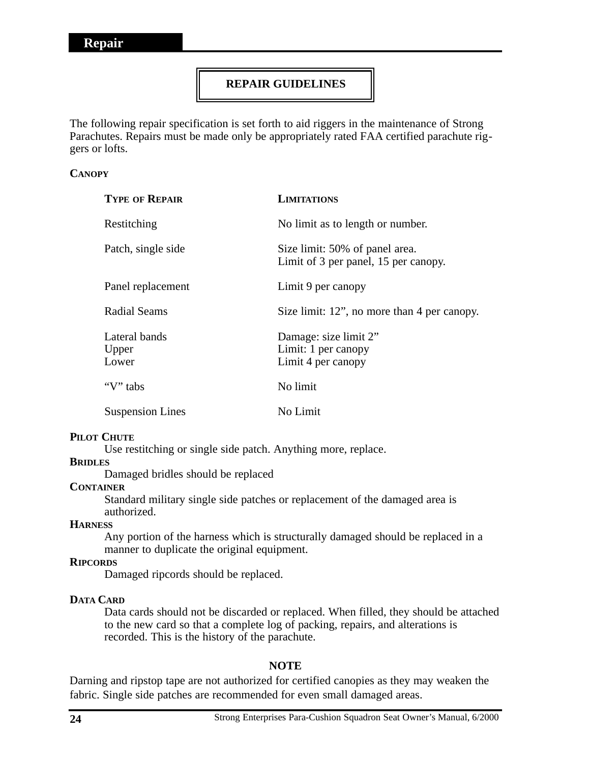## **REPAIR GUIDELINES**

The following repair specification is set forth to aid riggers in the maintenance of Strong Parachutes. Repairs must be made only be appropriately rated FAA certified parachute riggers or lofts.

#### **CANOPY**

| <b>TYPE OF REPAIR</b>           | <b>LIMITATIONS</b>                                                     |
|---------------------------------|------------------------------------------------------------------------|
| Restitching                     | No limit as to length or number.                                       |
| Patch, single side              | Size limit: 50% of panel area.<br>Limit of 3 per panel, 15 per canopy. |
| Panel replacement               | Limit 9 per canopy                                                     |
| Radial Seams                    | Size limit: 12", no more than 4 per canopy.                            |
| Lateral bands<br>Upper<br>Lower | Damage: size limit 2"<br>Limit: 1 per canopy<br>Limit 4 per canopy     |
| "V" tabs                        | No limit                                                               |
| <b>Suspension Lines</b>         | No Limit                                                               |

#### **PILOT CHUTE**

Use restitching or single side patch. Anything more, replace.

#### **BRIDLES**

Damaged bridles should be replaced

#### **CONTAINER**

Standard military single side patches or replacement of the damaged area is authorized.

#### **HARNESS**

Any portion of the harness which is structurally damaged should be replaced in a manner to duplicate the original equipment.

### **RIPCORDS**

Damaged ripcords should be replaced.

#### **DATA CARD**

Data cards should not be discarded or replaced. When filled, they should be attached to the new card so that a complete log of packing, repairs, and alterations is recorded. This is the history of the parachute.

#### **NOTE**

Darning and ripstop tape are not authorized for certified canopies as they may weaken the fabric. Single side patches are recommended for even small damaged areas.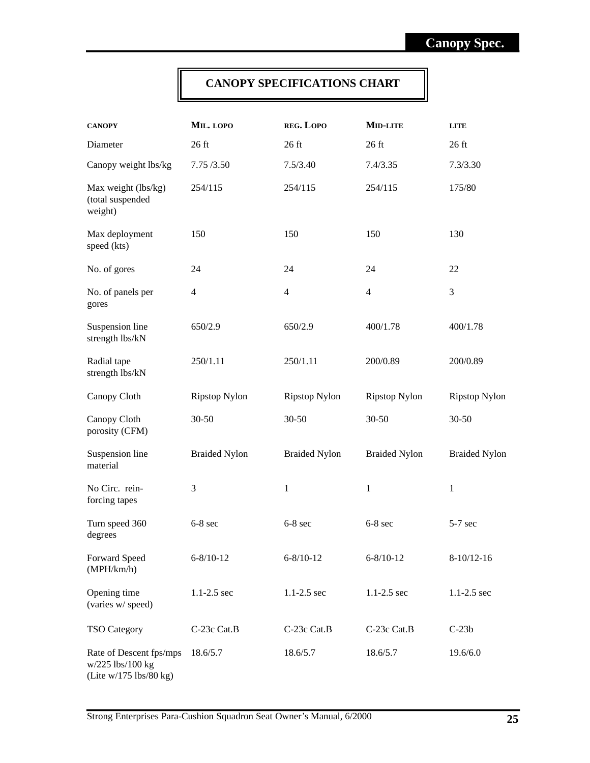## **CANOPY SPECIFICATIONS CHART**

| <b>CANOPY</b>                                                             | MIL. LOPO            | REG. LOPO            | MID-LITE             | <b>LITE</b>          |
|---------------------------------------------------------------------------|----------------------|----------------------|----------------------|----------------------|
| Diameter                                                                  | $26$ ft              | $26$ ft              | $26$ ft              | $26$ ft              |
| Canopy weight lbs/kg                                                      | 7.75 / 3.50          | 7.5/3.40             | 7.4/3.35             | 7.3/3.30             |
| Max weight (lbs/kg)<br>(total suspended<br>weight)                        | 254/115              | 254/115              | 254/115              | 175/80               |
| Max deployment<br>speed (kts)                                             | 150                  | 150                  | 150                  | 130                  |
| No. of gores                                                              | 24                   | 24                   | 24                   | 22                   |
| No. of panels per<br>gores                                                | 4                    | $\overline{4}$       | 4                    | 3                    |
| Suspension line<br>strength lbs/kN                                        | 650/2.9              | 650/2.9              | 400/1.78             | 400/1.78             |
| Radial tape<br>strength lbs/kN                                            | 250/1.11             | 250/1.11             | 200/0.89             | 200/0.89             |
| Canopy Cloth                                                              | <b>Ripstop Nylon</b> | <b>Ripstop Nylon</b> | <b>Ripstop Nylon</b> | <b>Ripstop Nylon</b> |
| Canopy Cloth<br>porosity (CFM)                                            | $30 - 50$            | $30 - 50$            | $30 - 50$            | $30 - 50$            |
| Suspension line<br>material                                               | <b>Braided Nylon</b> | <b>Braided Nylon</b> | <b>Braided Nylon</b> | <b>Braided Nylon</b> |
| No Circ. rein-<br>forcing tapes                                           | 3                    | $\mathbf{1}$         | 1                    | 1                    |
| Turn speed 360<br>degrees                                                 | $6-8$ sec            | $6-8$ sec            | $6-8$ sec            | $5-7$ sec            |
| Forward Speed<br>(MPH/km/h)                                               | $6 - 8/10 - 12$      | $6 - 8/10 - 12$      | $6 - 8/10 - 12$      | $8-10/12-16$         |
| Opening time<br>(varies w/ speed)                                         | $1.1 - 2.5$ sec      | $1.1 - 2.5$ sec      | $1.1 - 2.5$ sec      | $1.1 - 2.5$ sec      |
| <b>TSO Category</b>                                                       | C-23c Cat.B          | C-23c Cat.B          | C-23c Cat.B          | $C-23b$              |
| Rate of Descent fps/mps<br>$w/225$ lbs/100 kg<br>(Lite $w/175$ lbs/80 kg) | 18.6/5.7             | 18.6/5.7             | 18.6/5.7             | 19.6/6.0             |